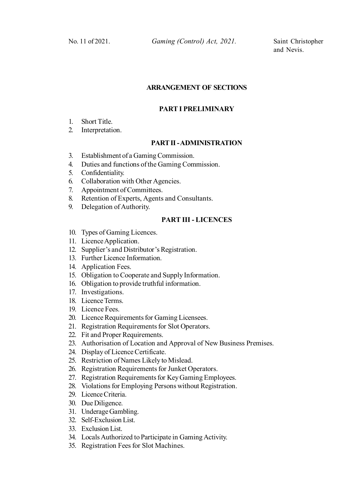and Nevis.

# **ARRANGEMENT OF SECTIONS**

#### **PART I PRELIMINARY**

- 1. Short Title.
- 2. Interpretation.

# **PART II - ADMINISTRATION**

- 3. Establishment of a Gaming Commission.
- 4. Duties and functions of the Gaming Commission.
- 5. Confidentiality.
- 6. Collaboration with Other Agencies.
- 7. Appointment of Committees.
- 8. Retention of Experts, Agents and Consultants.
- 9. Delegation of Authority.

# **PART III - LICENCES**

- 10. Types of Gaming Licences.
- 11. Licence Application.
- 12. Supplier's and Distributor's Registration.
- 13. Further Licence Information.
- 14. Application Fees.
- 15. Obligation to Cooperate and Supply Information.
- 16. Obligation to provide truthful information.
- 17. Investigations.
- 18. Licence Terms.
- 19. Licence Fees.
- 20. Licence Requirements for Gaming Licensees.
- 21. Registration Requirements for Slot Operators.
- 22. Fit and Proper Requirements.
- 23. Authorisation of Location and Approval of New Business Premises.
- 24. Display of Licence Certificate.
- 25. Restriction of Names Likely to Mislead.
- 26. Registration Requirements for Junket Operators.
- 27. Registration Requirements for Key Gaming Employees.
- 28. Violations for Employing Persons without Registration.
- 29. Licence Criteria.
- 30. Due Diligence.
- 31. Underage Gambling.
- 32. Self-Exclusion List.
- 33. Exclusion List.
- 34. Locals Authorized to Participate in Gaming Activity.
- 35. Registration Fees for Slot Machines.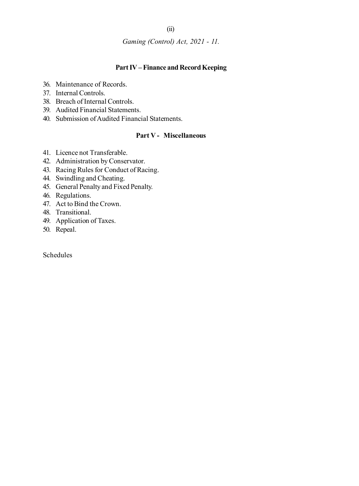### (ii)

*Gaming (Control) Act, 2021 - 11.*

# **Part IV – Finance and Record Keeping**

- 36. Maintenance of Records.
- 37. Internal Controls.
- 38. Breach of Internal Controls.
- 39. Audited Financial Statements.
- 40. Submission of Audited Financial Statements.

# **Part V - Miscellaneous**

- 41. Licence not Transferable.
- 42. Administration by Conservator.
- 43. Racing Rules for Conduct of Racing.
- 44. Swindling and Cheating.
- 45. General Penalty and Fixed Penalty.
- 46. Regulations.
- 47. Act to Bind the Crown.
- 48. Transitional.
- 49. Application of Taxes.
- 50. Repeal.

Schedules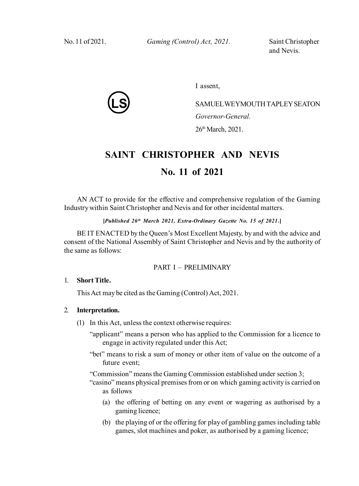*Gaming (Control) Act, 2021 – 11.* No. 11 of 2021. *Gaming (Control) Act, 2021.* Saint Christopher

and Nevis.

**LS**

I assent,

SAMUELWEYMOUTH TAPLEY SEATON *Governor-General.* 26th March, 2021.

# **SAINT CHRISTOPHER AND NEVIS No. 11 of 2021**

AN ACT to provide for the effective and comprehensive regulation of the Gaming Industry within Saint Christopher and Nevis and for other incidental matters.

# **[***Published 26th March 2021, Extra-Ordinary Gazette No. 15 of 2021***.]**

BE IT ENACTED by the Queen's Most Excellent Majesty, by and with the advice and consent of the National Assembly of Saint Christopher and Nevis and by the authority of the same as follows:

### PART I – PRELIMINARY

#### 1. **Short Title.**

This Act may be cited as the Gaming (Control) Act, 2021.

#### 2. **Interpretation.**

- (1) In this Act, unless the context otherwise requires:
	- "applicant" means a person who has applied to the Commission for a licence to engage in activity regulated under this Act;
	- "bet" means to risk a sum of money or other item of value on the outcome of a future event;

"Commission" means the Gaming Commission established under section 3;

- "casino" means physical premises from or on which gaming activity is carried on as follows
	- (a) the offering of betting on any event or wagering as authorised by a gaming licence;
	- (b) the playing of or the offering for play of gambling games including table games, slot machines and poker, as authorised by a gaming licence;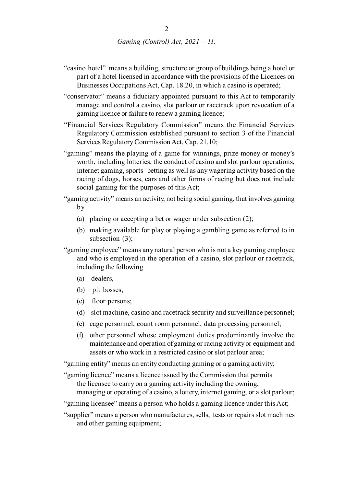- "casino hotel" means a building, structure or group of buildings being a hotel or part of a hotel licensed in accordance with the provisions of the Licences on Businesses Occupations Act, Cap. 18.20, in which a casino is operated;
- "conservator" means a fiduciary appointed pursuant to this Act to temporarily manage and control a casino, slot parlour or racetrack upon revocation of a gaming licence or failure to renew a gaming licence;
- "Financial Services Regulatory Commission" means the Financial Services Regulatory Commission established pursuant to section 3 of the Financial Services Regulatory Commission Act, Cap. 21.10;
- "gaming" means the playing of a game for winnings, prize money or money's worth, including lotteries, the conduct of casino and slot parlour operations, internet gaming, sports betting as well as any wagering activity based on the racing of dogs, horses, cars and other forms of racing but does not include social gaming for the purposes of this Act;
- "gaming activity" means an activity, not being social gaming, that involves gaming by
	- (a) placing or accepting a bet or wager under subsection (2);
	- (b) making available for play or playing a gambling game as referred to in subsection (3);
- "gaming employee" means any natural person who is not a key gaming employee and who is employed in the operation of a casino, slot parlour or racetrack, including the following
	- (a) dealers,
	- (b) pit bosses;
	- (c) floor persons;
	- (d) slot machine, casino and racetrack security and surveillance personnel;
	- (e) cage personnel, count room personnel, data processing personnel;
	- (f) other personnel whose employment duties predominantly involve the maintenance and operation of gaming or racing activity or equipment and assets or who work in a restricted casino or slot parlour area;
- "gaming entity" means an entity conducting gaming or a gaming activity;
- "gaming licence" means a licence issued by the Commission that permits the licensee to carry on a gaming activity including the owning, managing or operating of a casino, a lottery, internet gaming, or a slot parlour;
- "gaming licensee" means a person who holds a gaming licence under this Act;
- "supplier" means a person who manufactures, sells, tests or repairs slot machines and other gaming equipment;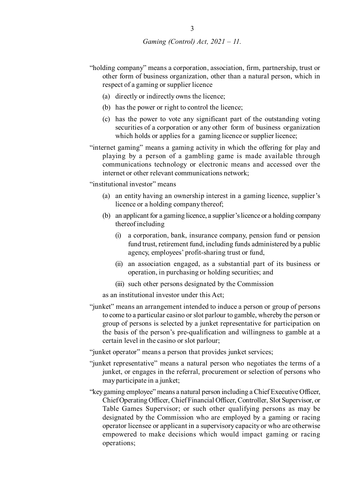- "holding company" means a corporation, association, firm, partnership, trust or other form of business organization, other than a natural person, which in respect of a gaming or supplier licence
	- (a) directly or indirectly owns the licence;
	- (b) has the power or right to control the licence;
	- (c) has the power to vote any significant part of the outstanding voting securities of a corporation or any other form of business organization which holds or applies for a gaming licence or supplier licence;

"internet gaming" means a gaming activity in which the offering for play and playing by a person of a gambling game is made available through communications technology or electronic means and accessed over the internet or other relevant communications network;

"institutional investor" means

- (a) an entity having an ownership interest in a gaming licence, supplier's licence or a holding company thereof;
- (b) an applicant for a gaming licence, a supplier's licence or a holding company thereof including
	- (i) a corporation, bank, insurance company, pension fund or pension fund trust, retirement fund, including funds administered by a public agency, employees' profit-sharing trust or fund,
	- (ii) an association engaged, as a substantial part of its business or operation, in purchasing or holding securities; and
	- (iii) such other persons designated by the Commission

as an institutional investor under this Act;

"junket" means an arrangement intended to induce a person or group of persons to come to a particular casino or slot parlour to gamble, whereby the person or group of persons is selected by a junket representative for participation on the basis of the person's pre-qualification and willingness to gamble at a certain level in the casino or slot parlour;

"junket operator" means a person that provides junket services;

- "junket representative" means a natural person who negotiates the terms of a junket, or engages in the referral, procurement or selection of persons who may participate in a junket;
- "key gaming employee" means a natural person including a Chief Executive Officer, Chief Operating Officer, Chief Financial Officer, Controller, Slot Supervisor, or Table Games Supervisor; or such other qualifying persons as may be designated by the Commission who are employed by a gaming or racing operator licensee or applicant in a supervisory capacity or who are otherwise empowered to make decisions which would impact gaming or racing operations;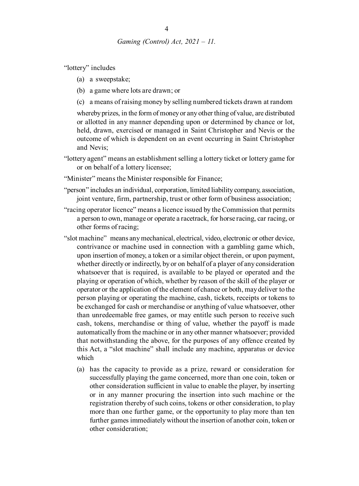"lottery" includes

- (a) a sweepstake;
- (b) a game where lots are drawn; or
- (c) a means of raising money by selling numbered tickets drawn at random

whereby prizes, in the form of money or any other thing of value, are distributed or allotted in any manner depending upon or determined by chance or lot, held, drawn, exercised or managed in Saint Christopher and Nevis or the outcome of which is dependent on an event occurring in Saint Christopher and Nevis;

- "lottery agent" means an establishment selling a lottery ticket or lottery game for or on behalf of a lottery licensee;
- "Minister" means the Minister responsible for Finance;
- "person" includes an individual, corporation, limited liability company, association, joint venture, firm, partnership, trust or other form of business association;
- "racing operator licence" means a licence issued by the Commission that permits a person to own, manage or operate a racetrack, for horse racing, car racing, or other forms of racing;
- "slot machine" means any mechanical, electrical, video, electronic or other device, contrivance or machine used in connection with a gambling game which, upon insertion of money, a token or a similar object therein, or upon payment, whether directly or indirectly, by or on behalf of a player of any consideration whatsoever that is required, is available to be played or operated and the playing or operation of which, whether by reason of the skill of the player or operator or the application of the element of chance or both, may deliver to the person playing or operating the machine, cash, tickets, receipts or tokens to be exchanged for cash or merchandise or anything of value whatsoever, other than unredeemable free games, or may entitle such person to receive such cash, tokens, merchandise or thing of value, whether the payoff is made automatically from the machine or in any other manner whatsoever; provided that notwithstanding the above, for the purposes of any offence created by this Act, a "slot machine" shall include any machine, apparatus or device which
	- (a) has the capacity to provide as a prize, reward or consideration for successfully playing the game concerned, more than one coin, token or other consideration sufficient in value to enable the player, by inserting or in any manner procuring the insertion into such machine or the registration thereby of such coins, tokens or other consideration, to play more than one further game, or the opportunity to play more than ten further games immediately without the insertion of another coin, token or other consideration;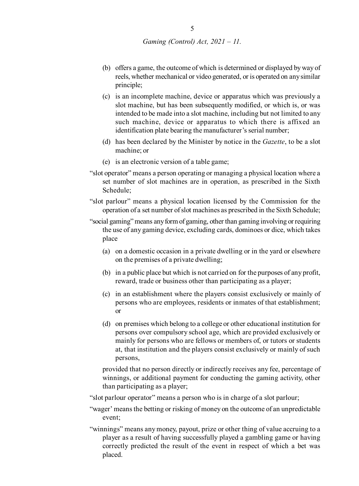- (b) offers a game, the outcome of which is determined or displayed by way of reels, whether mechanical or video generated, or is operated on any similar principle;
- (c) is an incomplete machine, device or apparatus which was previously a slot machine, but has been subsequently modified, or which is, or was intended to be made into a slot machine, including but not limited to any such machine, device or apparatus to which there is affixed an identification plate bearing the manufacturer's serial number;
- (d) has been declared by the Minister by notice in the *Gazette*, to be a slot machine; or
- (e) is an electronic version of a table game;
- "slot operator" means a person operating or managing a physical location where a set number of slot machines are in operation, as prescribed in the Sixth Schedule;
- "slot parlour" means a physical location licensed by the Commission for the operation of a set number of slot machines as prescribed in the Sixth Schedule;
- "social gaming" means any form of gaming, other than gaming involving or requiring the use of any gaming device, excluding cards, dominoes or dice, which takes place
	- (a) on a domestic occasion in a private dwelling or in the yard or elsewhere on the premises of a private dwelling;
	- (b) in a public place but which is not carried on for the purposes of any profit, reward, trade or business other than participating as a player;
	- (c) in an establishment where the players consist exclusively or mainly of persons who are employees, residents or inmates of that establishment; or
	- (d) on premises which belong to a college or other educational institution for persons over compulsory school age, which are provided exclusively or mainly for persons who are fellows or members of, or tutors or students at, that institution and the players consist exclusively or mainly of such persons,

provided that no person directly or indirectly receives any fee, percentage of winnings, or additional payment for conducting the gaming activity, other than participating as a player;

"slot parlour operator" means a person who is in charge of a slot parlour;

- "wager' means the betting or risking of money on the outcome of an unpredictable event;
- "winnings" means any money, payout, prize or other thing of value accruing to a player as a result of having successfully played a gambling game or having correctly predicted the result of the event in respect of which a bet was placed.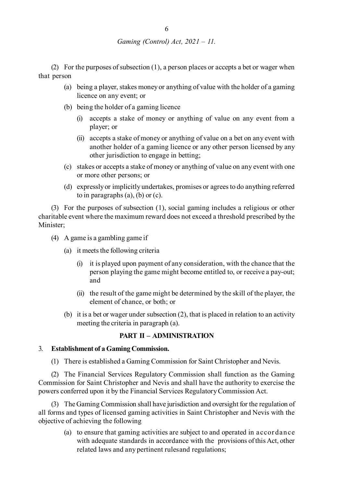(2) For the purposes of subsection (1), a person places or accepts a bet or wager when that person

- (a) being a player, stakes money or anything of value with the holder of a gaming licence on any event; or
- (b) being the holder of a gaming licence
	- (i) accepts a stake of money or anything of value on any event from a player; or
	- (ii) accepts a stake of money or anything of value on a bet on any event with another holder of a gaming licence or any other person licensed by any other jurisdiction to engage in betting;
- (c) stakes or accepts a stake of money or anything of value on any event with one or more other persons; or
- (d) expressly or implicitly undertakes, promises or agrees to do anything referred to in paragraphs  $(a)$ ,  $(b)$  or  $(c)$ .

(3) For the purposes of subsection (1), social gaming includes a religious or other charitable event where the maximum reward does not exceed a threshold prescribed by the Minister;

- (4) A game is a gambling game if
	- (a) it meets the following criteria
		- (i) it is played upon payment of any consideration, with the chance that the person playing the game might become entitled to, or receive a pay-out; and
		- (ii) the result of the game might be determined by the skill of the player, the element of chance, or both; or
	- (b) it is a bet or wager under subsection (2), that is placed in relation to an activity meeting the criteria in paragraph (a).

# **PART II – ADMINISTRATION**

#### 3. **Establishment of a Gaming Commission.**

(1) There is established a Gaming Commission for Saint Christopher and Nevis.

(2) The Financial Services Regulatory Commission shall function as the Gaming Commission for Saint Christopher and Nevis and shall have the authority to exercise the powers conferred upon it by the Financial Services Regulatory Commission Act.

(3) The Gaming Commission shall have jurisdiction and oversight for the regulation of all forms and types of licensed gaming activities in Saint Christopher and Nevis with the objective of achieving the following

(a) to ensure that gaming activities are subject to and operated in accor dance with adequate standards in accordance with the provisions of this Act, other related laws and any pertinent rulesand regulations;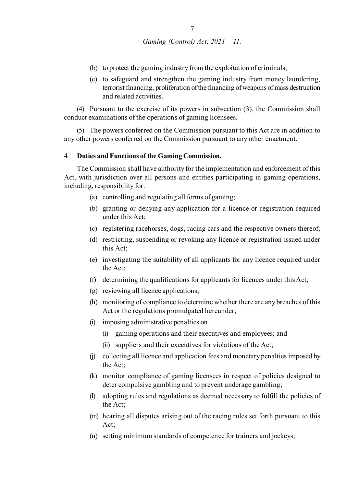- (b) to protect the gaming industry from the exploitation of criminals;
- (c) to safeguard and strengthen the gaming industry from money laundering, terrorist financing, proliferation of the financing of weapons of mass destruction and related activities.

(4) Pursuant to the exercise of its powers in subsection (3), the Commission shall conduct examinations of the operations of gaming licensees.

(5) The powers conferred on the Commission pursuant to this Act are in addition to any other powers conferred on the Commission pursuant to any other enactment.

#### 4. **Duties and Functions of the Gaming Commission.**

The Commission shall have authority for the implementation and enforcement of this Act, with jurisdiction over all persons and entities participating in gaming operations, including, responsibility for:

- (a) controlling and regulating all forms of gaming;
- (b) granting or denying any application for a licence or registration required under this Act;
- (c) registering racehorses, dogs, racing cars and the respective owners thereof;
- (d) restricting, suspending or revoking any licence or registration issued under this Act;
- (e) investigating the suitability of all applicants for any licence required under the Act;
- (f) determining the qualifications for applicants for licences under this Act;
- (g) reviewing all licence applications;
- (h) monitoring of compliance to determine whether there are any breaches of this Act or the regulations promulgated hereunder;
- (i) imposing administrative penalties on
	- (i) gaming operations and their executives and employees; and
	- (ii) suppliers and their executives for violations of the Act;
- (j) collecting all licence and application fees and monetary penalties imposed by the Act;
- (k) monitor compliance of gaming licensees in respect of policies designed to deter compulsive gambling and to prevent underage gambling;
- (l) adopting rules and regulations as deemed necessary to fulfill the policies of the Act;
- (m) hearing all disputes arising out of the racing rules set forth pursuant to this Act;
- (n) setting minimum standards of competence for trainers and jockeys;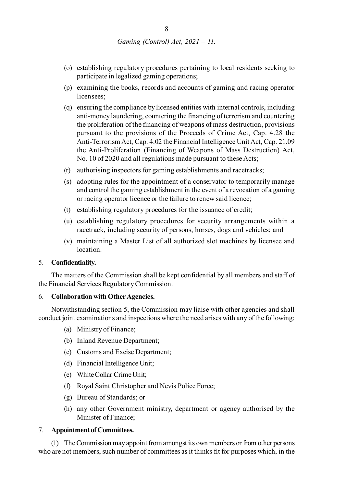- (o) establishing regulatory procedures pertaining to local residents seeking to participate in legalized gaming operations;
- (p) examining the books, records and accounts of gaming and racing operator licensees;
- (q) ensuring the compliance by licensed entities with internal controls, including anti-money laundering, countering the financing of terrorism and countering the proliferation of the financing of weapons of mass destruction, provisions pursuant to the provisions of the Proceeds of Crime Act, Cap. 4.28 the Anti-Terrorism Act, Cap. 4.02 the Financial Intelligence Unit Act, Cap. 21.09 the Anti-Proliferation (Financing of Weapons of Mass Destruction) Act, No. 10 of 2020 and all regulations made pursuant to these Acts;
- (r) authorising inspectors for gaming establishments and racetracks;
- (s) adopting rules for the appointment of a conservator to temporarily manage and control the gaming establishment in the event of a revocation of a gaming or racing operator licence or the failure to renew said licence;
- (t) establishing regulatory procedures for the issuance of credit;
- (u) establishing regulatory procedures for security arrangements within a racetrack, including security of persons, horses, dogs and vehicles; and
- (v) maintaining a Master List of all authorized slot machines by licensee and location.

#### 5. **Confidentiality.**

The matters of the Commission shall be kept confidential by all members and staff of the Financial Services Regulatory Commission.

#### 6. **Collaboration with Other Agencies.**

Notwithstanding section 5, the Commission may liaise with other agencies and shall conduct joint examinations and inspections where the need arises with any of the following:

- (a) Ministry of Finance;
- (b) Inland Revenue Department;
- (c) Customs and Excise Department;
- (d) Financial Intelligence Unit;
- (e) White Collar Crime Unit;
- (f) Royal Saint Christopher and Nevis Police Force;
- (g) Bureau of Standards; or
- (h) any other Government ministry, department or agency authorised by the Minister of Finance;

#### 7. **Appointment of Committees.**

(1) The Commission may appoint from amongst its own members or from other persons who are not members, such number of committees as it thinks fit for purposes which, in the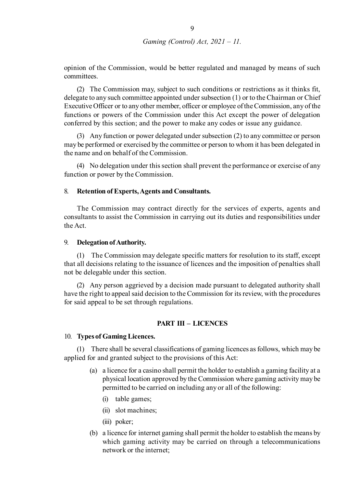opinion of the Commission, would be better regulated and managed by means of such committees.

(2) The Commission may, subject to such conditions or restrictions as it thinks fit, delegate to any such committee appointed under subsection (1) or to the Chairman or Chief Executive Officer or to any other member, officer or employee of the Commission, any of the functions or powers of the Commission under this Act except the power of delegation conferred by this section; and the power to make any codes or issue any guidance.

(3) Any function or power delegated under subsection (2) to any committee or person may be performed or exercised by the committee or person to whom it has been delegated in the name and on behalf of the Commission.

(4) No delegation under this section shall prevent the performance or exercise of any function or power by the Commission.

#### 8. **Retention of Experts, Agents and Consultants.**

The Commission may contract directly for the services of experts, agents and consultants to assist the Commission in carrying out its duties and responsibilities under the Act.

#### 9. **Delegation of Authority.**

(1) The Commission may delegate specific matters for resolution to its staff, except that all decisions relating to the issuance of licences and the imposition of penalties shall not be delegable under this section.

(2) Any person aggrieved by a decision made pursuant to delegated authority shall have the right to appeal said decision to the Commission for its review, with the procedures for said appeal to be set through regulations.

#### **PART III – LICENCES**

#### 10. **Types of Gaming Licences.**

(1) There shall be several classifications of gaming licences as follows, which may be applied for and granted subject to the provisions of this Act:

- (a) a licence for a casino shall permit the holder to establish a gaming facility at a physical location approved by the Commission where gaming activity may be permitted to be carried on including any or all of the following:
	- (i) table games;
	- (ii) slot machines;
	- (iii) poker;
- (b) a licence for internet gaming shall permit the holder to establish the means by which gaming activity may be carried on through a telecommunications network or the internet;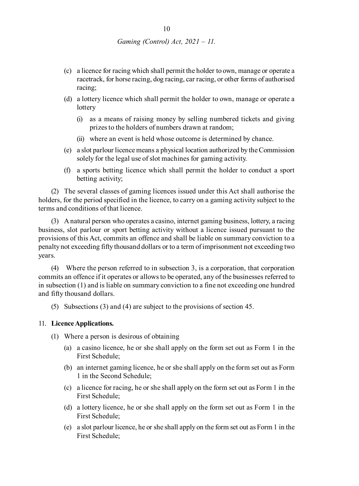- (c) a licence for racing which shall permit the holder to own, manage or operate a racetrack, for horse racing, dog racing, car racing, or other forms of authorised racing;
- (d) a lottery licence which shall permit the holder to own, manage or operate a lottery
	- (i) as a means of raising money by selling numbered tickets and giving prizes to the holders of numbers drawn at random;
	- (ii) where an event is held whose outcome is determined by chance.
- (e) a slot parlour licence means a physical location authorized by the Commission solely for the legal use of slot machines for gaming activity.
- (f) a sports betting licence which shall permit the holder to conduct a sport betting activity;

(2) The several classes of gaming licences issued under this Act shall authorise the holders, for the period specified in the licence, to carry on a gaming activity subject to the terms and conditions of that licence.

(3) A natural person who operates a casino, internet gaming business, lottery, a racing business, slot parlour or sport betting activity without a licence issued pursuant to the provisions of this Act, commits an offence and shall be liable on summary conviction to a penalty not exceeding fifty thousand dollars or to a term of imprisonment not exceeding two years.

(4) Where the person referred to in subsection 3, is a corporation, that corporation commits an offence if it operates or allows to be operated, any of the businesses referred to in subsection (1) and is liable on summary conviction to a fine not exceeding one hundred and fifty thousand dollars.

(5) Subsections (3) and (4) are subject to the provisions of section 45.

#### 11. **Licence Applications.**

- (1) Where a person is desirous of obtaining
	- (a) a casino licence, he or she shall apply on the form set out as Form 1 in the First Schedule;
	- (b) an internet gaming licence, he or she shall apply on the form set out as Form 1 in the Second Schedule;
	- (c) a licence for racing, he or she shall apply on the form set out as Form 1 in the First Schedule;
	- (d) a lottery licence, he or she shall apply on the form set out as Form 1 in the First Schedule;
	- (e) a slot parlour licence, he or she shall apply on the form set out as Form 1 in the First Schedule;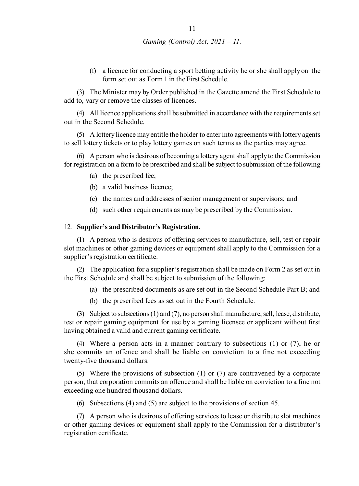(f) a licence for conducting a sport betting activity he or she shall apply on the form set out as Form 1 in the First Schedule.

(3) The Minister may by Order published in the Gazette amend the First Schedule to add to, vary or remove the classes of licences.

(4) All licence applications shall be submitted in accordance with the requirements set out in the Second Schedule.

(5) A lottery licence may entitle the holder to enter into agreements with lottery agents to sell lottery tickets or to play lottery games on such terms as the parties may agree.

(6) A person who is desirous of becoming a lottery agent shall apply to the Commission for registration on a form to be prescribed and shall be subject to submission of the following

- (a) the prescribed fee;
- (b) a valid business licence;
- (c) the names and addresses of senior management or supervisors; and
- (d) such other requirements as may be prescribed by the Commission.

#### 12. **Supplier's and Distributor's Registration.**

(1) A person who is desirous of offering services to manufacture, sell, test or repair slot machines or other gaming devices or equipment shall apply to the Commission for a supplier's registration certificate.

(2) The application for a supplier's registration shall be made on Form 2 as set out in the First Schedule and shall be subject to submission of the following:

- (a) the prescribed documents as are set out in the Second Schedule Part B; and
- (b) the prescribed fees as set out in the Fourth Schedule.

(3) Subject to subsections (1) and (7), no person shall manufacture, sell, lease, distribute, test or repair gaming equipment for use by a gaming licensee or applicant without first having obtained a valid and current gaming certificate.

(4) Where a person acts in a manner contrary to subsections (1) or (7), he or she commits an offence and shall be liable on conviction to a fine not exceeding twenty-five thousand dollars.

(5) Where the provisions of subsection (1) or (7) are contravened by a corporate person, that corporation commits an offence and shall be liable on conviction to a fine not exceeding one hundred thousand dollars.

(6) Subsections (4) and (5) are subject to the provisions of section 45.

(7) A person who is desirous of offering services to lease or distribute slot machines or other gaming devices or equipment shall apply to the Commission for a distributor's registration certificate.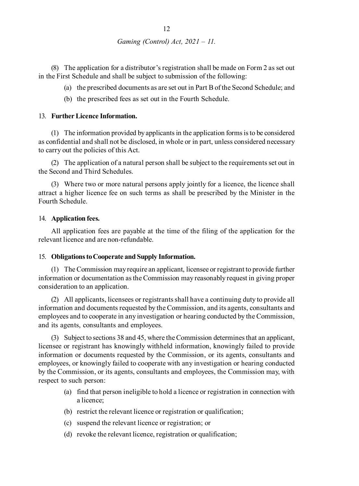(8) The application for a distributor's registration shall be made on Form 2 as set out in the First Schedule and shall be subject to submission of the following:

- (a) the prescribed documents as are set out in Part B of the Second Schedule; and
- (b) the prescribed fees as set out in the Fourth Schedule.

#### 13. **Further Licence Information.**

(1) The information provided by applicants in the application forms is to be considered as confidential and shall not be disclosed, in whole or in part, unless considered necessary to carry out the policies of this Act.

(2) The application of a natural person shall be subject to the requirements set out in the Second and Third Schedules.

(3) Where two or more natural persons apply jointly for a licence, the licence shall attract a higher licence fee on such terms as shall be prescribed by the Minister in the Fourth Schedule.

#### 14. **Application fees.**

All application fees are payable at the time of the filing of the application for the relevant licence and are non-refundable.

#### 15. **Obligations to Cooperate and Supply Information.**

(1) The Commission may require an applicant, licensee or registrant to provide further information or documentation as the Commission may reasonably request in giving proper consideration to an application.

(2) All applicants, licensees or registrants shall have a continuing duty to provide all information and documents requested by the Commission, and its agents, consultants and employees and to cooperate in any investigation or hearing conducted by the Commission, and its agents, consultants and employees.

(3) Subject to sections 38 and 45, where the Commission determines that an applicant, licensee or registrant has knowingly withheld information, knowingly failed to provide information or documents requested by the Commission, or its agents, consultants and employees, or knowingly failed to cooperate with any investigation or hearing conducted by the Commission, or its agents, consultants and employees, the Commission may, with respect to such person:

- (a) find that person ineligible to hold a licence or registration in connection with a licence;
- (b) restrict the relevant licence or registration or qualification;
- (c) suspend the relevant licence or registration; or
- (d) revoke the relevant licence, registration or qualification;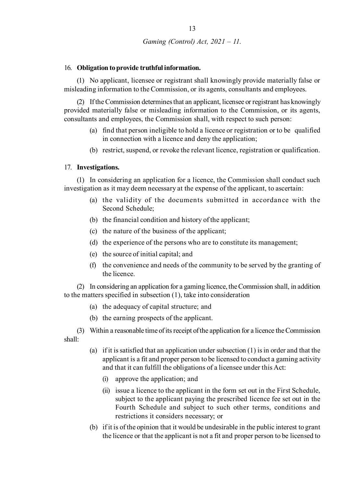#### 16. **Obligation to provide truthful information.**

(1) No applicant, licensee or registrant shall knowingly provide materially false or misleading information to the Commission, or its agents, consultants and employees.

(2) If the Commission determines that an applicant, licensee or registrant has knowingly provided materially false or misleading information to the Commission, or its agents, consultants and employees, the Commission shall, with respect to such person:

- (a) find that person ineligible to hold a licence or registration or to be qualified in connection with a licence and deny the application;
- (b) restrict, suspend, or revoke the relevant licence, registration or qualification.

#### 17. **Investigations.**

(1) In considering an application for a licence, the Commission shall conduct such investigation as it may deem necessary at the expense of the applicant, to ascertain:

- (a) the validity of the documents submitted in accordance with the Second Schedule;
- (b) the financial condition and history of the applicant;
- (c) the nature of the business of the applicant;
- (d) the experience of the persons who are to constitute its management;
- (e) the source of initial capital; and
- (f) the convenience and needs of the community to be served by the granting of the licence.

(2) In considering an application for a gaming licence, the Commission shall, in addition to the matters specified in subsection (1), take into consideration

- (a) the adequacy of capital structure; and
- (b) the earning prospects of the applicant.

(3) Within a reasonable time of its receipt of the application for a licence the Commission shall:

- (a) if it is satisfied that an application under subsection (1) is in order and that the applicant is a fit and proper person to be licensed to conduct a gaming activity and that it can fulfill the obligations of a licensee under this Act:
	- (i) approve the application; and
	- (ii) issue a licence to the applicant in the form set out in the First Schedule, subject to the applicant paying the prescribed licence fee set out in the Fourth Schedule and subject to such other terms, conditions and restrictions it considers necessary; or
- (b) if it is of the opinion that it would be undesirable in the public interest to grant the licence or that the applicant is not a fit and proper person to be licensed to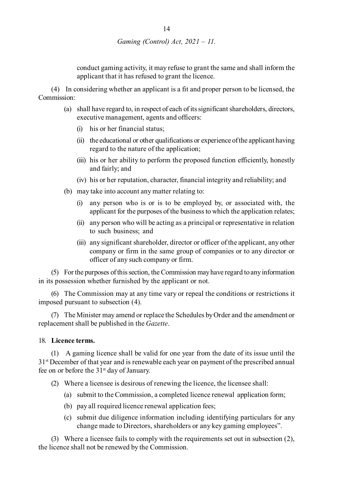conduct gaming activity, it may refuse to grant the same and shall inform the applicant that it has refused to grant the licence.

(4) In considering whether an applicant is a fit and proper person to be licensed, the Commission:

- (a) shall have regard to, in respect of each of its significant shareholders, directors, executive management, agents and officers:
	- (i) his or her financial status;
	- (ii) the educational or other qualifications or experience of the applicant having regard to the nature of the application;
	- (iii) his or her ability to perform the proposed function efficiently, honestly and fairly; and
	- (iv) his or her reputation, character, financial integrity and reliability; and
- (b) may take into account any matter relating to:
	- (i) any person who is or is to be employed by, or associated with, the applicant for the purposes of the business to which the application relates;
	- (ii) any person who will be acting as a principal or representative in relation to such business; and
	- (iii) any significant shareholder, director or officer of the applicant, any other company or firm in the same group of companies or to any director or officer of any such company or firm.

(5) For the purposes of this section, the Commission may have regard to any information in its possession whether furnished by the applicant or not.

(6) The Commission may at any time vary or repeal the conditions or restrictions it imposed pursuant to subsection (4).

(7) The Minister may amend or replace the Schedules by Order and the amendment or replacement shall be published in the *Gazette*.

#### 18. **Licence terms.**

(1) A gaming licence shall be valid for one year from the date of its issue until the 31st December of that year and is renewable each year on payment of the prescribed annual fee on or before the  $31<sup>st</sup>$  day of January.

- (2) Where a licensee is desirous of renewing the licence, the licensee shall:
	- (a) submit to the Commission, a completed licence renewal application form;
	- (b) pay all required licence renewal application fees;
	- (c) submit due diligence information including identifying particulars for any change made to Directors, shareholders or any key gaming employees".

(3) Where a licensee fails to comply with the requirements set out in subsection (2), the licence shall not be renewed by the Commission.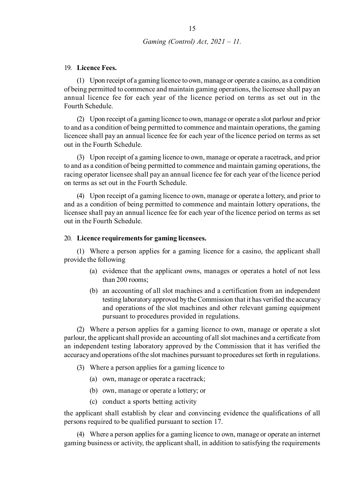#### 19. **Licence Fees.**

(1) Upon receipt of a gaming licence to own, manage or operate a casino, as a condition of being permitted to commence and maintain gaming operations, the licensee shall pay an annual licence fee for each year of the licence period on terms as set out in the Fourth Schedule.

(2) Upon receipt of a gaming licence to own, manage or operate a slot parlour and prior to and as a condition of being permitted to commence and maintain operations, the gaming licencee shall pay an annual licence fee for each year of the licence period on terms as set out in the Fourth Schedule.

(3) Upon receipt of a gaming licence to own, manage or operate a racetrack, and prior to and as a condition of being permitted to commence and maintain gaming operations, the racing operator licensee shall pay an annual licence fee for each year of the licence period on terms as set out in the Fourth Schedule.

(4) Upon receipt of a gaming licence to own, manage or operate a lottery, and prior to and as a condition of being permitted to commence and maintain lottery operations, the licensee shall pay an annual licence fee for each year of the licence period on terms as set out in the Fourth Schedule.

#### 20. **Licence requirements for gaming licensees.**

(1) Where a person applies for a gaming licence for a casino, the applicant shall provide the following

- (a) evidence that the applicant owns, manages or operates a hotel of not less than 200 rooms;
- (b) an accounting of all slot machines and a certification from an independent testing laboratory approved by the Commission that it has verified the accuracy and operations of the slot machines and other relevant gaming equipment pursuant to procedures provided in regulations.

(2) Where a person applies for a gaming licence to own, manage or operate a slot parlour, the applicant shall provide an accounting of all slot machines and a certificate from an independent testing laboratory approved by the Commission that it has verified the accuracy and operations of the slot machines pursuant to procedures set forth in regulations.

- (3) Where a person applies for a gaming licence to
	- (a) own, manage or operate a racetrack;
	- (b) own, manage or operate a lottery; or
	- (c) conduct a sports betting activity

the applicant shall establish by clear and convincing evidence the qualifications of all persons required to be qualified pursuant to section 17.

(4) Where a person applies for a gaming licence to own, manage or operate an internet gaming business or activity, the applicant shall, in addition to satisfying the requirements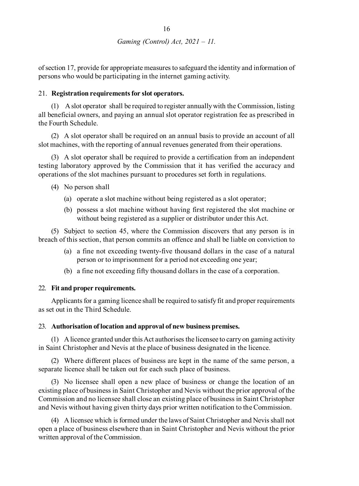of section 17, provide for appropriate measures to safeguard the identity and information of persons who would be participating in the internet gaming activity.

# 21. **Registration requirements for slot operators.**

(1) A slot operator shall be required to register annually with the Commission, listing all beneficial owners, and paying an annual slot operator registration fee as prescribed in the Fourth Schedule.

(2) A slot operator shall be required on an annual basis to provide an account of all slot machines, with the reporting of annual revenues generated from their operations.

(3) A slot operator shall be required to provide a certification from an independent testing laboratory approved by the Commission that it has verified the accuracy and operations of the slot machines pursuant to procedures set forth in regulations.

- (4) No person shall
	- (a) operate a slot machine without being registered as a slot operator;
	- (b) possess a slot machine without having first registered the slot machine or without being registered as a supplier or distributor under this Act.

(5) Subject to section 45, where the Commission discovers that any person is in breach of this section, that person commits an offence and shall be liable on conviction to

- (a) a fine not exceeding twenty-five thousand dollars in the case of a natural person or to imprisonment for a period not exceeding one year;
- (b) a fine not exceeding fifty thousand dollars in the case of a corporation.

# 22. **Fit and proper requirements.**

Applicants for a gaming licence shall be required to satisfy fit and proper requirements as set out in the Third Schedule.

#### 23. **Authorisation of location and approval of new business premises.**

(1) A licence granted under this Act authorises the licensee to carry on gaming activity in Saint Christopher and Nevis at the place of business designated in the licence.

(2) Where different places of business are kept in the name of the same person, a separate licence shall be taken out for each such place of business.

(3) No licensee shall open a new place of business or change the location of an existing place of business in Saint Christopher and Nevis without the prior approval of the Commission and no licensee shall close an existing place of business in Saint Christopher and Nevis without having given thirty days prior written notification to the Commission.

(4) A licensee which is formed under the laws of Saint Christopher and Nevis shall not open a place of business elsewhere than in Saint Christopher and Nevis without the prior written approval of the Commission.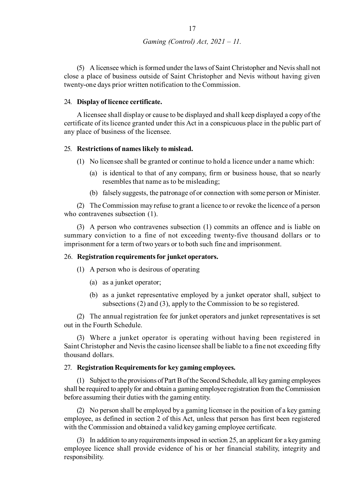(5) A licensee which is formed under the laws of Saint Christopher and Nevis shall not close a place of business outside of Saint Christopher and Nevis without having given twenty-one days prior written notification to the Commission.

#### 24. **Display of licence certificate.**

A licensee shall display or cause to be displayed and shall keep displayed a copy of the certificate of its licence granted under this Act in a conspicuous place in the public part of any place of business of the licensee.

#### 25. **Restrictions of names likely to mislead.**

(1) No licensee shall be granted or continue to hold a licence under a name which:

- (a) is identical to that of any company, firm or business house, that so nearly resembles that name as to be misleading;
- (b) falsely suggests, the patronage of or connection with some person or Minister.

(2) The Commission may refuse to grant a licence to or revoke the licence of a person who contravenes subsection (1).

(3) A person who contravenes subsection (1) commits an offence and is liable on summary conviction to a fine of not exceeding twenty-five thousand dollars or to imprisonment for a term of two years or to both such fine and imprisonment.

#### 26. **Registration requirements for junket operators.**

- (1) A person who is desirous of operating
	- (a) as a junket operator;
	- (b) as a junket representative employed by a junket operator shall, subject to subsections (2) and (3), apply to the Commission to be so registered.

(2) The annual registration fee for junket operators and junket representatives is set out in the Fourth Schedule.

(3) Where a junket operator is operating without having been registered in Saint Christopher and Nevis the casino licensee shall be liable to a fine not exceeding fifty thousand dollars.

#### 27. **Registration Requirements for key gaming employees.**

(1) Subject to the provisions of Part B of the Second Schedule, all key gaming employees shall be required to apply for and obtain a gaming employee registration from the Commission before assuming their duties with the gaming entity.

(2) No person shall be employed by a gaming licensee in the position of a key gaming employee, as defined in section 2 of this Act, unless that person has first been registered with the Commission and obtained a valid key gaming employee certificate.

(3) In addition to any requirements imposed in section 25, an applicant for a key gaming employee licence shall provide evidence of his or her financial stability, integrity and responsibility.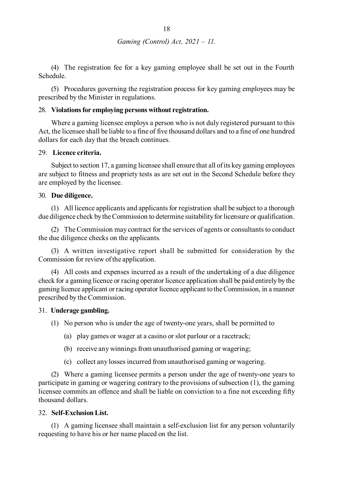(4) The registration fee for a key gaming employee shall be set out in the Fourth Schedule.

(5) Procedures governing the registration process for key gaming employees may be prescribed by the Minister in regulations.

### 28. **Violations for employing persons without registration.**

Where a gaming licensee employs a person who is not duly registered pursuant to this Act, the licensee shall be liable to a fine of five thousand dollars and to a fine of one hundred dollars for each day that the breach continues.

#### 29. **Licence criteria.**

Subject to section 17, a gaming licensee shall ensure that all of its key gaming employees are subject to fitness and propriety tests as are set out in the Second Schedule before they are employed by the licensee.

# 30. **Due diligence.**

(1) All licence applicants and applicants for registration shall be subject to a thorough due diligence check by the Commission to determine suitability for licensure or qualification.

(2) The Commission may contract for the services of agents or consultants to conduct the due diligence checks on the applicants.

(3) A written investigative report shall be submitted for consideration by the Commission for review of the application.

(4) All costs and expenses incurred as a result of the undertaking of a due diligence check for a gaming licence or racing operator licence application shall be paid entirely by the gaming licence applicant or racing operator licence applicant to the Commission, in a manner prescribed by the Commission.

#### 31. **Underage gambling.**

(1) No person who is under the age of twenty-one years, shall be permitted to

- (a) play games or wager at a casino or slot parlour or a racetrack;
- (b) receive any winnings from unauthorised gaming or wagering;
- (c) collect any losses incurred from unauthorised gaming or wagering.

(2) Where a gaming licensee permits a person under the age of twenty-one years to participate in gaming or wagering contrary to the provisions of subsection (1), the gaming licensee commits an offence and shall be liable on conviction to a fine not exceeding fifty thousand dollars.

#### 32. **Self-Exclusion List.**

(1) A gaming licensee shall maintain a self-exclusion list for any person voluntarily requesting to have his or her name placed on the list.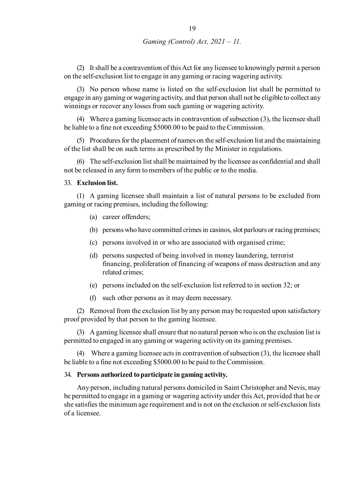(2) It shall be a contravention of this Act for any licensee to knowingly permit a person on the self-exclusion list to engage in any gaming or racing wagering activity.

(3) No person whose name is listed on the self-exclusion list shall be permitted to engage in any gaming or wagering activity, and that person shall not be eligible to collect any winnings or recover any losses from such gaming or wagering activity.

(4) Where a gaming licensee acts in contravention of subsection (3), the licensee shall be liable to a fine not exceeding \$5000.00 to be paid to the Commission.

(5) Procedures for the placement of names on the self-exclusion list and the maintaining of the list shall be on such terms as prescribed by the Minister in regulations.

(6) The self-exclusion list shall be maintained by the licensee as confidential and shall not be released in any form to members of the public or to the media.

#### 33. **Exclusion list.**

(1) A gaming licensee shall maintain a list of natural persons to be excluded from gaming or racing premises, including the following:

- (a) career offenders;
- (b) persons who have committed crimes in casinos, slot parlours or racing premises;
- (c) persons involved in or who are associated with organised crime;
- (d) persons suspected of being involved in money laundering, terrorist financing, proliferation of financing of weapons of mass destruction and any related crimes;
- (e) persons included on the self-exclusion list referred to in section 32; or
- (f) such other persons as it may deem necessary.

(2) Removal from the exclusion list by any person may be requested upon satisfactory proof provided by that person to the gaming licensee.

(3) A gaming licensee shall ensure that no natural person who is on the exclusion list is permitted to engaged in any gaming or wagering activity on its gaming premises.

(4) Where a gaming licensee acts in contravention of subsection (3), the licensee shall be liable to a fine not exceeding \$5000.00 to be paid to the Commission.

#### 34. **Persons authorized to participate in gaming activity.**

Any person, including natural persons domiciled in Saint Christopher and Nevis, may be permitted to engage in a gaming or wagering activity under this Act, provided that he or she satisfies the minimum age requirement and is not on the exclusion or self-exclusion lists of a licensee.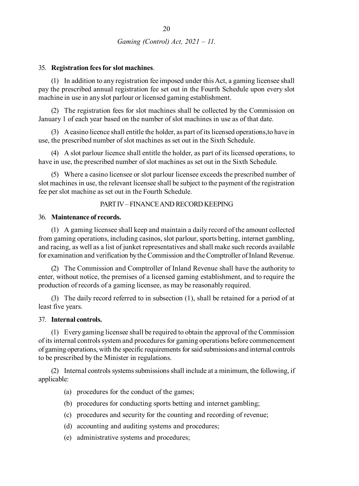#### 35. **Registration fees for slot machines**.

(1) In addition to any registration fee imposed under this Act, a gaming licensee shall pay the prescribed annual registration fee set out in the Fourth Schedule upon every slot machine in use in any slot parlour or licensed gaming establishment.

(2) The registration fees for slot machines shall be collected by the Commission on January 1 of each year based on the number of slot machines in use as of that date.

(3) A casino licence shall entitle the holder, as part of its licensed operations,to have in use, the prescribed number of slot machines as set out in the Sixth Schedule.

(4) A slot parlour licence shall entitle the holder, as part of its licensed operations, to have in use, the prescribed number of slot machines as set out in the Sixth Schedule.

(5) Where a casino licensee or slot parlour licensee exceeds the prescribed number of slot machines in use, the relevant licensee shall be subject to the payment of the registration fee per slot machine as set out in the Fourth Schedule.

#### PART IV – FINANCE AND RECORD KEEPING

#### 36. **Maintenance of records.**

(1) A gaming licensee shall keep and maintain a daily record of the amount collected from gaming operations, including casinos, slot parlour, sports betting, internet gambling, and racing, as well as a list of junket representatives and shall make such records available for examination and verification by the Commission and the Comptroller of Inland Revenue.

(2) The Commission and Comptroller of Inland Revenue shall have the authority to enter, without notice, the premises of a licensed gaming establishment, and to require the production of records of a gaming licensee, as may be reasonably required.

(3) The daily record referred to in subsection (1), shall be retained for a period of at least five years.

#### 37. **Internal controls.**

(1) Every gaming licensee shall be required to obtain the approval of the Commission of its internal controls system and procedures for gaming operations before commencement of gaming operations, with the specific requirements for said submissions and internal controls to be prescribed by the Minister in regulations.

(2) Internal controls systems submissions shall include at a minimum, the following, if applicable:

- (a) procedures for the conduct of the games;
- (b) procedures for conducting sports betting and internet gambling;
- (c) procedures and security for the counting and recording of revenue;
- (d) accounting and auditing systems and procedures;
- (e) administrative systems and procedures;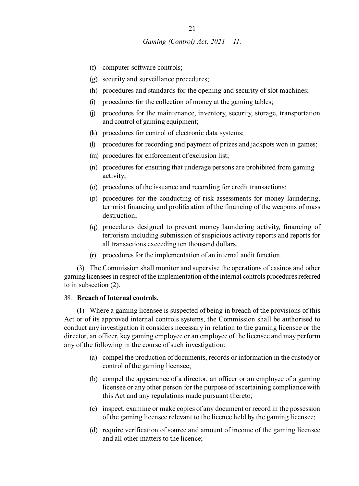- (f) computer software controls;
- (g) security and surveillance procedures;
- (h) procedures and standards for the opening and security of slot machines;
- (i) procedures for the collection of money at the gaming tables;
- (j) procedures for the maintenance, inventory, security, storage, transportation and control of gaming equipment;
- (k) procedures for control of electronic data systems;
- (l) procedures for recording and payment of prizes and jackpots won in games;
- (m) procedures for enforcement of exclusion list;
- (n) procedures for ensuring that underage persons are prohibited from gaming activity;
- (o) procedures of the issuance and recording for credit transactions;
- (p) procedures for the conducting of risk assessments for money laundering, terrorist financing and proliferation of the financing of the weapons of mass destruction;
- (q) procedures designed to prevent money laundering activity, financing of terrorism including submission of suspicious activity reports and reports for all transactions exceeding ten thousand dollars.
- (r) procedures for the implementation of an internal audit function.

(3) The Commission shall monitor and supervise the operations of casinos and other gaming licensees in respect of the implementation of the internal controls procedures referred to in subsection (2).

#### 38. **Breach of Internal controls.**

(1) Where a gaming licensee is suspected of being in breach of the provisions of this Act or of its approved internal controls systems, the Commission shall be authorised to conduct any investigation it considers necessary in relation to the gaming licensee or the director, an officer, key gaming employee or an employee of the licensee and may perform any of the following in the course of such investigation:

- (a) compel the production of documents, records or information in the custody or control of the gaming licensee;
- (b) compel the appearance of a director, an officer or an employee of a gaming licensee or any other person for the purpose of ascertaining compliance with this Act and any regulations made pursuant thereto;
- (c) inspect, examine or make copies of any document or record in the possession of the gaming licensee relevant to the licence held by the gaming licensee;
- (d) require verification of source and amount of income of the gaming licensee and all other matters to the licence;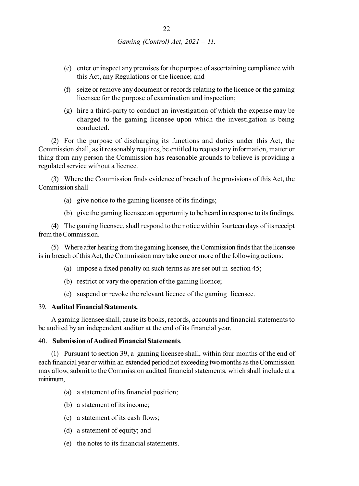- (e) enter or inspect any premises for the purpose of ascertaining compliance with this Act, any Regulations or the licence; and
- (f) seize or remove any document or records relating to the licence or the gaming licensee for the purpose of examination and inspection;
- (g) hire a third-party to conduct an investigation of which the expense may be charged to the gaming licensee upon which the investigation is being conducted.

(2) For the purpose of discharging its functions and duties under this Act, the Commission shall, as it reasonably requires, be entitled to request any information, matter or thing from any person the Commission has reasonable grounds to believe is providing a regulated service without a licence.

(3) Where the Commission finds evidence of breach of the provisions of this Act, the Commission shall

- (a) give notice to the gaming licensee of its findings;
- (b) give the gaming licensee an opportunity to be heard in response to its findings.

(4) The gaming licensee, shall respond to the notice within fourteen days of its receipt from the Commission.

(5) Where after hearing from the gaming licensee, the Commission finds that the licensee is in breach of this Act, the Commission may take one or more of the following actions:

- (a) impose a fixed penalty on such terms as are set out in section 45;
- (b) restrict or vary the operation of the gaming licence;
- (c) suspend or revoke the relevant licence of the gaming licensee.

#### 39. **Audited Financial Statements.**

A gaming licensee shall, cause its books, records, accounts and financial statements to be audited by an independent auditor at the end of its financial year.

# 40. **Submission of Audited Financial Statements**.

(1) Pursuant to section 39, a gaming licensee shall, within four months of the end of each financial year or within an extended period not exceeding two months as the Commission may allow, submit to the Commission audited financial statements, which shall include at a minimum,

- (a) a statement of its financial position;
- (b) a statement of its income;
- (c) a statement of its cash flows;
- (d) a statement of equity; and
- (e) the notes to its financial statements.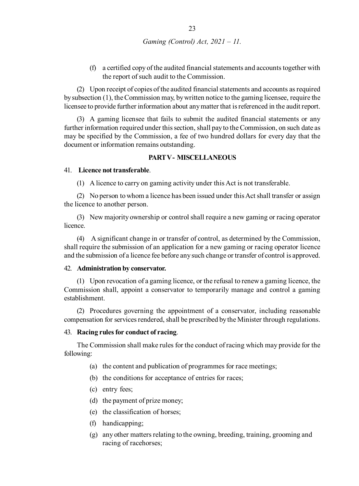(f) a certified copy of the audited financial statements and accounts together with the report of such audit to the Commission.

(2) Upon receipt of copies of the audited financial statements and accounts as required by subsection (1), the Commission may, by written notice to the gaming licensee, require the licensee to provide further information about any matter that is referenced in the audit report.

(3) A gaming licensee that fails to submit the audited financial statements or any further information required under this section, shall pay to the Commission, on such date as may be specified by the Commission, a fee of two hundred dollars for every day that the document or information remains outstanding.

#### **PART V - MISCELLANEOUS**

#### 41. **Licence not transferable**.

(1) A licence to carry on gaming activity under this Act is not transferable.

(2) No person to whom a licence has been issued under this Act shall transfer or assign the licence to another person.

(3) New majority ownership or control shall require a new gaming or racing operator licence.

(4) A significant change in or transfer of control, as determined by the Commission, shall require the submission of an application for a new gaming or racing operator licence and the submission of a licence fee before any such change or transfer of control is approved.

#### 42. **Administration by conservator.**

(1) Upon revocation of a gaming licence, or the refusal to renew a gaming licence, the Commission shall, appoint a conservator to temporarily manage and control a gaming establishment.

(2) Procedures governing the appointment of a conservator, including reasonable compensation for services rendered, shall be prescribed by the Minister through regulations.

#### 43. **Racing rules for conduct of racing**.

The Commission shall make rules for the conduct of racing which may provide for the following:

- (a) the content and publication of programmes for race meetings;
- (b) the conditions for acceptance of entries for races;
- (c) entry fees;
- (d) the payment of prize money;
- (e) the classification of horses;
- (f) handicapping;
- (g) any other matters relating to the owning, breeding, training, grooming and racing of racehorses;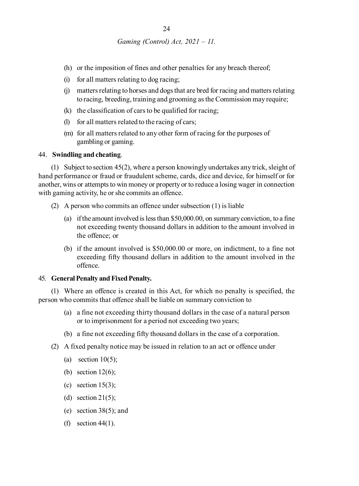- (h) or the imposition of fines and other penalties for any breach thereof;
- (i) for all matters relating to dog racing;
- (j) matters relating to horses and dogs that are bred for racing and matters relating to racing, breeding, training and grooming as the Commission may require;
- (k) the classification of cars to be qualified for racing;
- (l) for all matters related to the racing of cars;
- (m) for all matters related to any other form of racing for the purposes of gambling or gaming.

#### 44. **Swindling and cheating**.

(1) Subject to section 45(2), where a person knowingly undertakes any trick, sleight of hand performance or fraud or fraudulent scheme, cards, dice and device, for himself or for another, wins or attempts to win money or property or to reduce a losing wager in connection with gaming activity, he or she commits an offence.

- (2) A person who commits an offence under subsection (1) is liable
	- (a) if the amount involved is less than \$50,000.00, on summary conviction, to a fine not exceeding twenty thousand dollars in addition to the amount involved in the offence; or
	- (b) if the amount involved is \$50,000.00 or more, on indictment, to a fine not exceeding fifty thousand dollars in addition to the amount involved in the offence.

#### 45. **General Penalty and Fixed Penalty.**

(1) Where an offence is created in this Act, for which no penalty is specified, the person who commits that offence shall be liable on summary conviction to

- (a) a fine not exceeding thirty thousand dollars in the case of a natural person or to imprisonment for a period not exceeding two years;
- (b) a fine not exceeding fifty thousand dollars in the case of a corporation.
- (2) A fixed penalty notice may be issued in relation to an act or offence under
	- (a) section  $10(5)$ ;
	- (b) section  $12(6)$ ;
	- (c) section  $15(3)$ ;
	- (d) section  $21(5)$ ;
	- (e) section  $38(5)$ ; and
	- (f) section 44(1).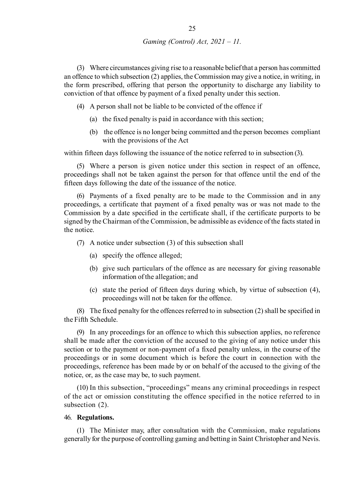(3) Where circumstances giving rise to a reasonable belief that a person has committed an offence to which subsection (2) applies, the Commission may give a notice, in writing, in the form prescribed, offering that person the opportunity to discharge any liability to conviction of that offence by payment of a fixed penalty under this section.

- (4) A person shall not be liable to be convicted of the offence if
	- (a) the fixed penalty is paid in accordance with this section;
	- (b) the offence is no longer being committed and the person becomes compliant with the provisions of the Act

within fifteen days following the issuance of the notice referred to in subsection (3).

(5) Where a person is given notice under this section in respect of an offence, proceedings shall not be taken against the person for that offence until the end of the fifteen days following the date of the issuance of the notice.

(6) Payments of a fixed penalty are to be made to the Commission and in any proceedings, a certificate that payment of a fixed penalty was or was not made to the Commission by a date specified in the certificate shall, if the certificate purports to be signed by the Chairman of the Commission, be admissible as evidence of the facts stated in the notice.

- (7) A notice under subsection (3) of this subsection shall
	- (a) specify the offence alleged;
	- (b) give such particulars of the offence as are necessary for giving reasonable information of the allegation; and
	- (c) state the period of fifteen days during which, by virtue of subsection (4), proceedings will not be taken for the offence.

(8) The fixed penalty for the offences referred to in subsection (2) shall be specified in the Fifth Schedule.

(9) In any proceedings for an offence to which this subsection applies, no reference shall be made after the conviction of the accused to the giving of any notice under this section or to the payment or non-payment of a fixed penalty unless, in the course of the proceedings or in some document which is before the court in connection with the proceedings, reference has been made by or on behalf of the accused to the giving of the notice, or, as the case may be, to such payment.

(10) In this subsection, "proceedings" means any criminal proceedings in respect of the act or omission constituting the offence specified in the notice referred to in subsection (2).

#### 46. **Regulations.**

(1) The Minister may, after consultation with the Commission, make regulations generally for the purpose of controlling gaming and betting in Saint Christopher and Nevis.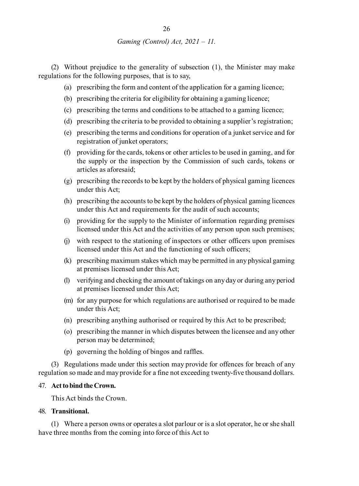(2) Without prejudice to the generality of subsection (1), the Minister may make regulations for the following purposes, that is to say,

- (a) prescribing the form and content of the application for a gaming licence;
- (b) prescribing the criteria for eligibility for obtaining a gaming licence;
- (c) prescribing the terms and conditions to be attached to a gaming licence;
- (d) prescribing the criteria to be provided to obtaining a supplier's registration;
- (e) prescribing the terms and conditions for operation of a junket service and for registration of junket operators;
- (f) providing for the cards, tokens or other articles to be used in gaming, and for the supply or the inspection by the Commission of such cards, tokens or articles as aforesaid;
- (g) prescribing the records to be kept by the holders of physical gaming licences under this Act;
- (h) prescribing the accounts to be kept by the holders of physical gaming licences under this Act and requirements for the audit of such accounts;
- (i) providing for the supply to the Minister of information regarding premises licensed under this Act and the activities of any person upon such premises;
- (j) with respect to the stationing of inspectors or other officers upon premises licensed under this Act and the functioning of such officers;
- (k) prescribing maximum stakes which may be permitted in any physical gaming at premises licensed under this Act;
- (l) verifying and checking the amount of takings on any day or during any period at premises licensed under this Act;
- (m) for any purpose for which regulations are authorised or required to be made under this Act;
- (n) prescribing anything authorised or required by this Act to be prescribed;
- (o) prescribing the manner in which disputes between the licensee and any other person may be determined;
- (p) governing the holding of bingos and raffles.

(3) Regulations made under this section may provide for offences for breach of any regulation so made and may provide for a fine not exceeding twenty-five thousand dollars.

#### 47. **Act to bind the Crown.**

This Act binds the Crown.

#### 48. **Transitional.**

(1) Where a person owns or operates a slot parlour or is a slot operator, he or she shall have three months from the coming into force of this Act to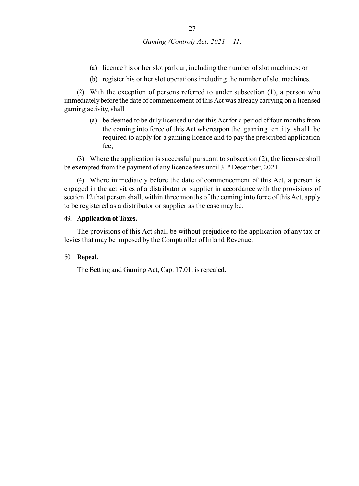- (a) licence his or her slot parlour, including the number of slot machines; or
- (b) register his or her slot operations including the number of slot machines.

(2) With the exception of persons referred to under subsection (1), a person who immediately before the date of commencement of this Act was already carrying on a licensed gaming activity, shall

(a) be deemed to be duly licensed under this Act for a period of four months from the coming into force of this Act whereupon the gaming entity shall be required to apply for a gaming licence and to pay the prescribed application fee;

(3) Where the application is successful pursuant to subsection (2), the licensee shall be exempted from the payment of any licence fees until 31<sup>st</sup> December, 2021.

(4) Where immediately before the date of commencement of this Act, a person is engaged in the activities of a distributor or supplier in accordance with the provisions of section 12 that person shall, within three months of the coming into force of this Act, apply to be registered as a distributor or supplier as the case may be.

#### 49. **Application of Taxes.**

The provisions of this Act shall be without prejudice to the application of any tax or levies that may be imposed by the Comptroller of Inland Revenue.

#### 50. **Repeal.**

The Betting and Gaming Act, Cap. 17.01, is repealed.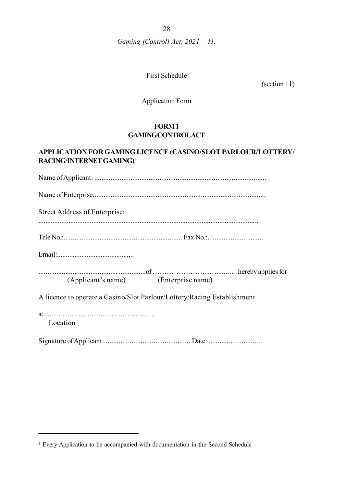28

*Gaming (Control) Act, 2021 – 11.*

First Schedule

(section 11)

Application Form

# **FORM 1 GAMING CONTROLACT**

# **APPLICATION FOR GAMING LICENCE (CASINO/SLOT PARLOUR/LOTTERY/ RACING/INTERNET GAMING)<sup>1</sup>**

| Street Address of Enterprise:                                           |
|-------------------------------------------------------------------------|
|                                                                         |
|                                                                         |
| (Applicant's name) (Enterprise name)                                    |
| A licence to operate a Casino/Slot Parlour/Lottery/Racing Establishment |
| Location                                                                |
|                                                                         |

<sup>&</sup>lt;sup>1</sup> Every Application to be accompanied with documentation in the Second Schedule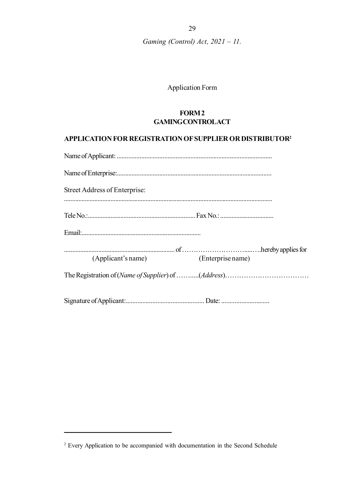# Application Form

# **FORM 2 GAMING CONTROL ACT**

# **APPLICATION FOR REGISTRATION OF SUPPLIER OR DISTRIBUTOR<sup>2</sup>**

| Street Address of Enterprise:        |
|--------------------------------------|
|                                      |
|                                      |
|                                      |
|                                      |
| (Applicant's name) (Enterprise name) |
|                                      |
|                                      |

<sup>&</sup>lt;sup>2</sup> Every Application to be accompanied with documentation in the Second Schedule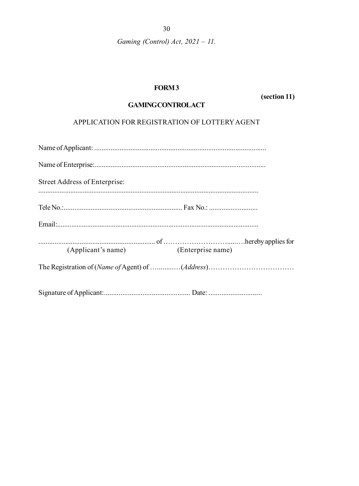# FORM<sub>3</sub>

(section 11)

# **GAMINGCONTROLACT**

APPLICATION FOR REGISTRATION OF LOTTERY AGENT

| Street Address of Enterprise:        |  |
|--------------------------------------|--|
|                                      |  |
|                                      |  |
|                                      |  |
|                                      |  |
| (Applicant's name) (Enterprise name) |  |
|                                      |  |
|                                      |  |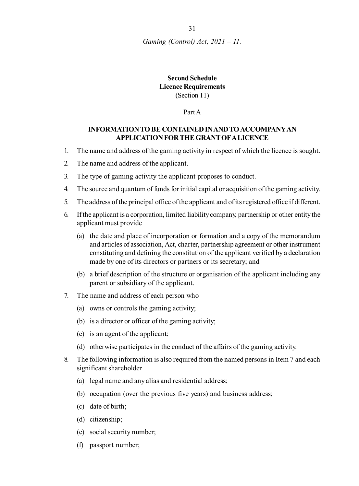# **Second Schedule Licence Requirements** (Section 11)

Part A

# **INFORMATION TO BE CONTAINED IN AND TO ACCOMPANY AN APPLICATION FOR THE GRANT OF A LICENCE**

- 1. The name and address of the gaming activity in respect of which the licence is sought.
- 2. The name and address of the applicant.
- 3. The type of gaming activity the applicant proposes to conduct.
- 4. The source and quantum of funds for initial capital or acquisition of the gaming activity.
- 5. The address of the principal office of the applicant and of its registered office if different.
- 6. If the applicant is a corporation, limited liability company, partnership or other entity the applicant must provide
	- (a) the date and place of incorporation or formation and a copy of the memorandum and articles of association, Act, charter, partnership agreement or other instrument constituting and defining the constitution of the applicant verified by a declaration made by one of its directors or partners or its secretary; and
	- (b) a brief description of the structure or organisation of the applicant including any parent or subsidiary of the applicant.
- 7. The name and address of each person who
	- (a) owns or controls the gaming activity;
	- (b) is a director or officer of the gaming activity;
	- (c) is an agent of the applicant;
	- (d) otherwise participates in the conduct of the affairs of the gaming activity.
- 8. The following information is also required from the named persons in Item 7 and each significant shareholder
	- (a) legal name and any alias and residential address;
	- (b) occupation (over the previous five years) and business address;
	- (c) date of birth;
	- (d) citizenship;
	- (e) social security number;
	- (f) passport number;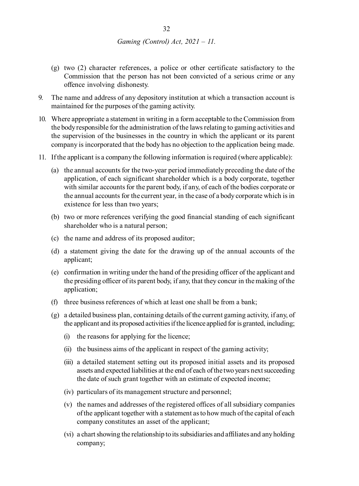- (g) two (2) character references, a police or other certificate satisfactory to the Commission that the person has not been convicted of a serious crime or any offence involving dishonesty.
- 9. The name and address of any depository institution at which a transaction account is maintained for the purposes of the gaming activity.
- 10. Where appropriate a statement in writing in a form acceptable to the Commission from the body responsible for the administration of the laws relating to gaming activities and the supervision of the businesses in the country in which the applicant or its parent company is incorporated that the body has no objection to the application being made.
- 11. If the applicant is a company the following information is required (where applicable):
	- (a) the annual accounts for the two-year period immediately preceding the date of the application, of each significant shareholder which is a body corporate, together with similar accounts for the parent body, if any, of each of the bodies corporate or the annual accounts for the current year, in the case of a body corporate which is in existence for less than two years;
	- (b) two or more references verifying the good financial standing of each significant shareholder who is a natural person;
	- (c) the name and address of its proposed auditor;
	- (d) a statement giving the date for the drawing up of the annual accounts of the applicant;
	- (e) confirmation in writing under the hand of the presiding officer of the applicant and the presiding officer of its parent body, if any, that they concur in the making of the application;
	- (f) three business references of which at least one shall be from a bank;
	- (g) a detailed business plan, containing details of the current gaming activity, if any, of the applicant and its proposed activities if the licence applied for is granted, including;
		- (i) the reasons for applying for the licence;
		- (ii) the business aims of the applicant in respect of the gaming activity;
		- (iii) a detailed statement setting out its proposed initial assets and its proposed assets and expected liabilities at the end of each of the two years next succeeding the date of such grant together with an estimate of expected income;
		- (iv) particulars of its management structure and personnel;
		- (v) the names and addresses of the registered offices of all subsidiary companies of the applicant together with a statement as to how much of the capital of each company constitutes an asset of the applicant;
		- (vi) a chart showing the relationship to its subsidiaries and affiliates and any holding company;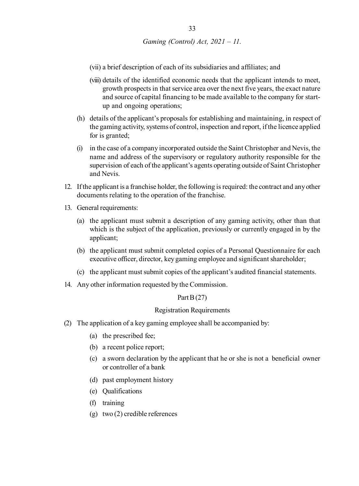- (vii) a brief description of each of its subsidiaries and affiliates; and
- (viii) details of the identified economic needs that the applicant intends to meet, growth prospects in that service area over the next five years, the exact nature and source of capital financing to be made available to the company for startup and ongoing operations;
- (h) details of the applicant's proposals for establishing and maintaining, in respect of the gaming activity, systems of control, inspection and report, if the licence applied for is granted;
- (i) in the case of a company incorporated outside the Saint Christopher and Nevis, the name and address of the supervisory or regulatory authority responsible for the supervision of each of the applicant's agents operating outside of Saint Christopher and Nevis.
- 12. If the applicant is a franchise holder, the following is required: the contract and any other documents relating to the operation of the franchise.
- 13. General requirements:
	- (a) the applicant must submit a description of any gaming activity, other than that which is the subject of the application, previously or currently engaged in by the applicant;
	- (b) the applicant must submit completed copies of a Personal Questionnaire for each executive officer, director, key gaming employee and significant shareholder;
	- (c) the applicant must submit copies of the applicant's audited financial statements.
- 14. Any other information requested by the Commission.

#### Part B (27)

# Registration Requirements

- (2) The application of a key gaming employee shall be accompanied by:
	- (a) the prescribed fee;
	- (b) a recent police report;
	- (c) a sworn declaration by the applicant that he or she is not a beneficial owner or controller of a bank
	- (d) past employment history
	- (e) Qualifications
	- (f) training
	- (g) two (2) credible references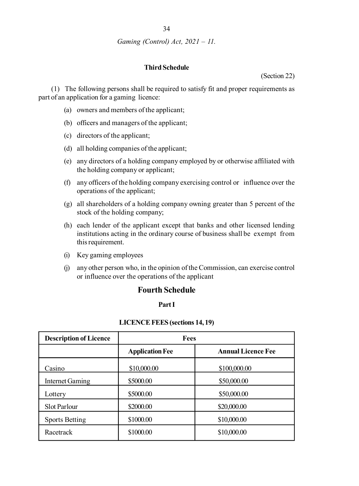# **Third Schedule**

(Section 22)

(1) The following persons shall be required to satisfy fit and proper requirements as part of an application for a gaming licence:

- (a) owners and members of the applicant;
- (b) officers and managers of the applicant;
- (c) directors of the applicant;
- (d) all holding companies of the applicant;
- (e) any directors of a holding company employed by or otherwise affiliated with the holding company or applicant;
- (f) any officers of the holding company exercising control or influence over the operations of the applicant;
- (g) all shareholders of a holding company owning greater than 5 percent of the stock of the holding company;
- (h) each lender of the applicant except that banks and other licensed lending institutions acting in the ordinary course of business shall be exempt from this requirement.
- (i) Key gaming employees
- (j) any other person who, in the opinion of the Commission, can exercise control or influence over the operations of the applicant

# **Fourth Schedule**

#### **Part I**

#### **LICENCE FEES (sections 14, 19)**

| <b>Description of Licence</b> | <b>Fees</b>            |                           |
|-------------------------------|------------------------|---------------------------|
|                               | <b>Application Fee</b> | <b>Annual Licence Fee</b> |
| Casino                        | \$10,000.00            | \$100,000.00              |
| Internet Gaming               | \$5000.00              | \$50,000.00               |
| Lottery                       | \$5000.00              | \$50,000.00               |
| Slot Parlour                  | \$2000.00              | \$20,000.00               |
| <b>Sports Betting</b>         | \$1000.00              | \$10,000.00               |
| Racetrack                     | \$1000.00              | \$10,000.00               |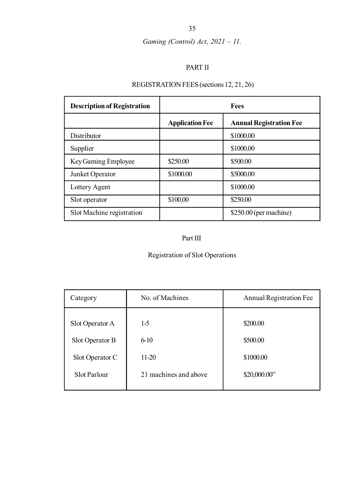# PART II

# REGISTRATION FEES (sections 12, 21, 26)

| <b>Description of Registration</b> |                        | Fees                           |
|------------------------------------|------------------------|--------------------------------|
|                                    | <b>Application Fee</b> | <b>Annual Registration Fee</b> |
| Distributor                        |                        | \$1000.00                      |
| Supplier                           |                        | \$1000.00                      |
| Key Gaming Employee                | \$250.00               | \$500.00                       |
| Junket Operator                    | \$1000.00              | \$5000.00                      |
| Lottery Agent                      |                        | \$1000.00                      |
| Sot operator                       | \$100.00               | \$250.00                       |
| Slot Machine registration          |                        | $$250.00$ (per machine)        |

# Part III

# Registration of Slot Operations

| Category        | No. of Machines       | Annual Registration Fee |
|-----------------|-----------------------|-------------------------|
| Slot Operator A | $1-5$                 | \$200.00                |
| Slot Operator B | $6-10$                | \$500.00                |
| Slot Operator C | $11-20$               | \$1000.00               |
| Slot Parlour    | 21 machines and above | \$20,000.00"            |